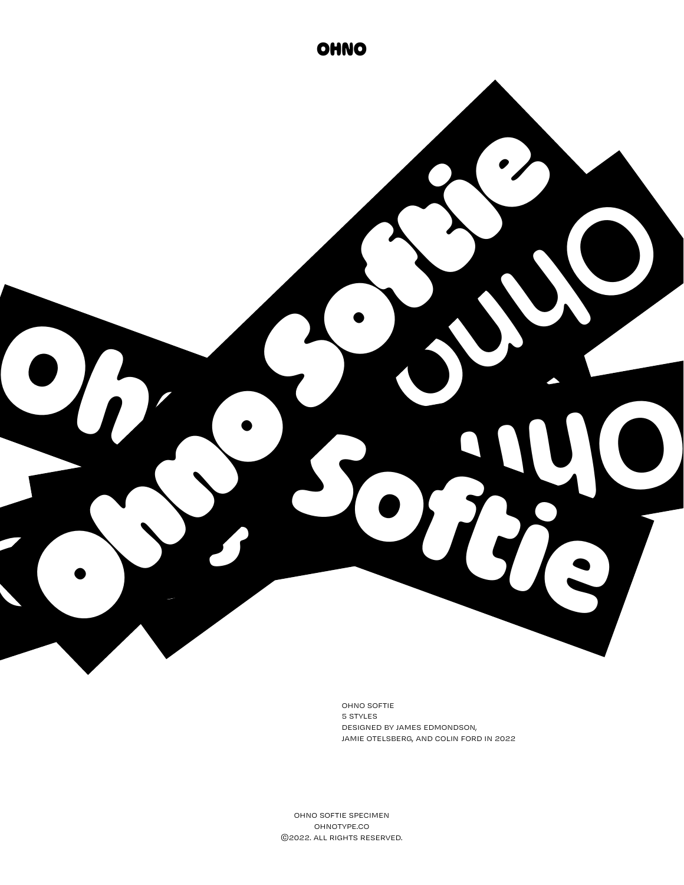

ohno softie 5 styles designed by james edmondson, jamie otelsberg, and colin ford in 2022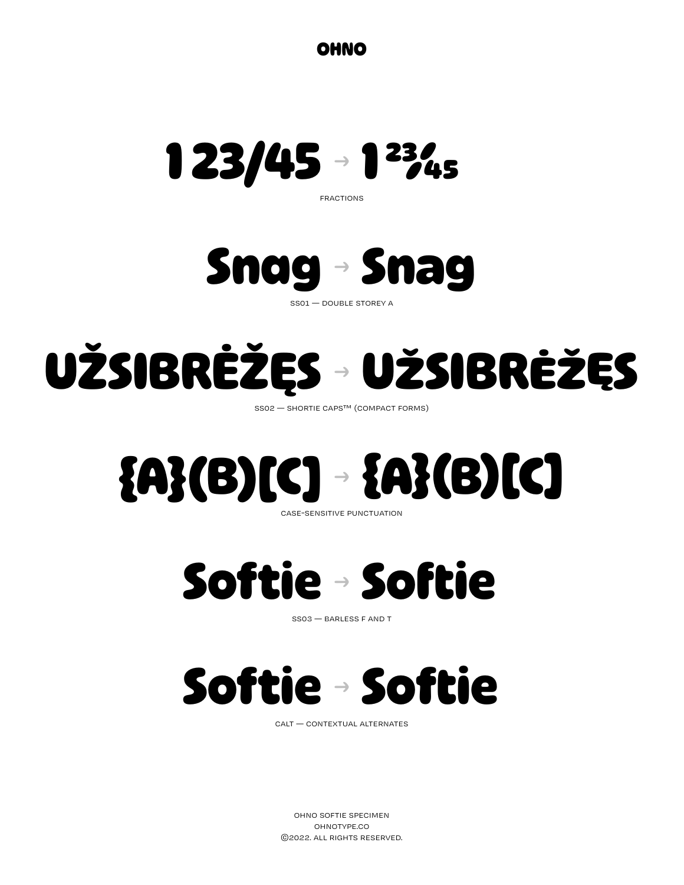**OHNO**



fractions



ss01 — double storey a

### **UŽSIBRĖŽĘS UŽSIBRĖŽĘS** →

ss02 — shortie caps™ (compact forms)

### **{A}(B)[C] {A}(B)[C]** case-sensitive punctuation →

**Softie Softie** →

ss03 — barless f and t



calt — contextual alternates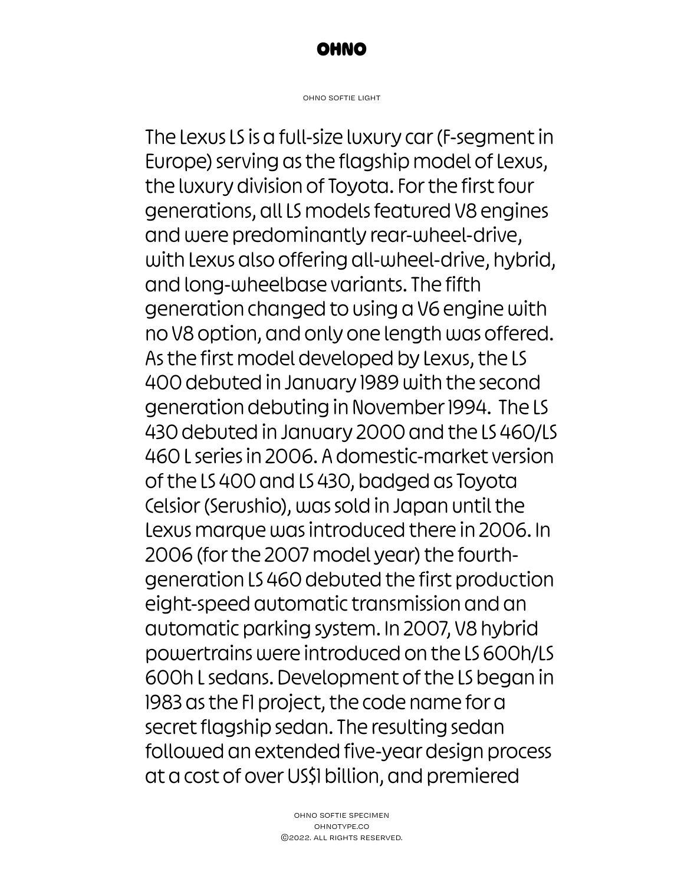

ohno softie light

The Lexus LS is a full-size luxury car (F-segment in Europe) serving as the flagship model of Lexus, the luxury division of Toyota. For the first four generations, all LS models featured V8 engines and were predominantly rear-wheel-drive, with Lexus also offering all-wheel-drive, hybrid, and long-wheelbase variants. The fifth generation changed to using a V6 engine with no V8 option, and only one length was offered. As the first model developed by Lexus, the LS 400 debuted in January 1989 with the second generation debuting in November 1994. The LS 430 debuted in January 2000 and the LS 460/LS 460 L series in 2006. A domestic-market version of the LS 400 and LS 430, badged as Toyota Celsior (Serushio), was sold in Japan until the Lexus marque was introduced there in 2006. In 2006 (for the 2007 model year) the fourthgeneration LS 460 debuted the first production eight-speed automatic transmission and an automatic parking system. In 2007, V8 hybrid powertrains were introduced on the LS 600h/LS 600h L sedans. Development of the LS began in 1983 as the F1 project, the code name for a secret flagship sedan. The resulting sedan followed an extended five-year design process at a cost of over US\$1 billion, and premiered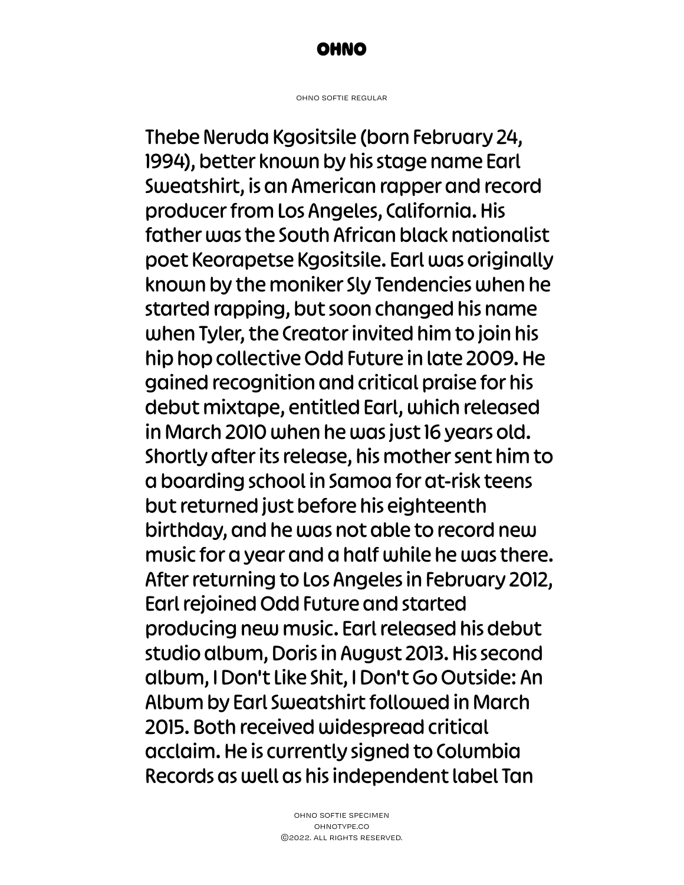

ohno softie regular

Thebe Neruda Kgositsile (born February 24, 1994), better known by his stage name Earl Sweatshirt, is an American rapper and record producer from Los Angeles, California. His father was the South African black nationalist poet Keorapetse Kgositsile. Earl was originally known by the moniker Sly Tendencies when he started rapping, but soon changed his name when Tyler, the Creator invited him to join his hip hop collective Odd Future in late 2009. He gained recognition and critical praise for his debut mixtape, entitled Earl, which released in March 2010 when he was just 16 years old. Shortly after its release, his mother sent him to a boarding school in Samoa for at-risk teens but returned just before his eighteenth birthday, and he was not able to record new music for a year and a half while he was there. After returning to Los Angeles in February 2012, Earl rejoined Odd Future and started producing new music. Earl released his debut studio album, Doris in August 2013. His second album, I Don't Like Shit, I Don't Go Outside: An Album by Earl Sweatshirt followed in March 2015. Both received widespread critical acclaim. He is currently signed to Columbia Records as well as his independent label Tan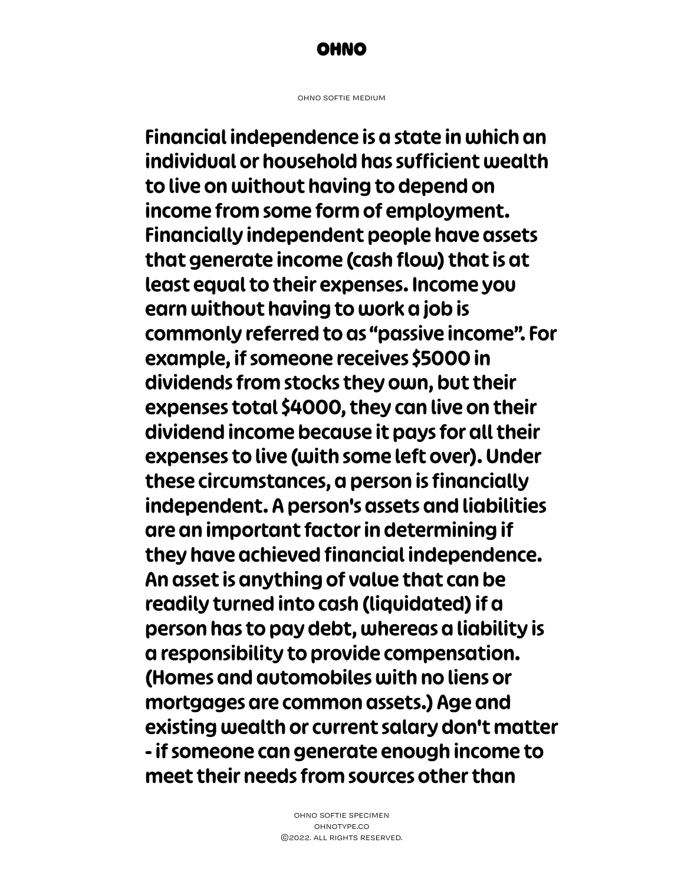

ohno softie medium

Financial independence is a state in which an individual or household has sufficient wealth to live on without having to depend on income from some form of employment. Financially independent people have assets that generate income (cash flow) that is at least equal to their expenses. Income you earn without having to work a job is commonly referred to as "passive income". For example, if someone receives \$5000 in dividends from stocks they own, but their expenses total \$4000, they can live on their dividend income because it pays for all their expenses to live (with some left over). Under these circumstances, a person is financially independent. A person's assets and liabilities are an important factor in determining if they have achieved financial independence. An asset is anything of value that can be readily turned into cash (liquidated) if a person has to pay debt, whereas a liability is a responsibility to provide compensation. (Homes and automobiles with no liens or mortgages are common assets.) Age and existing wealth or current salary don't matter - if someone can generate enough income to meet their needs from sources other than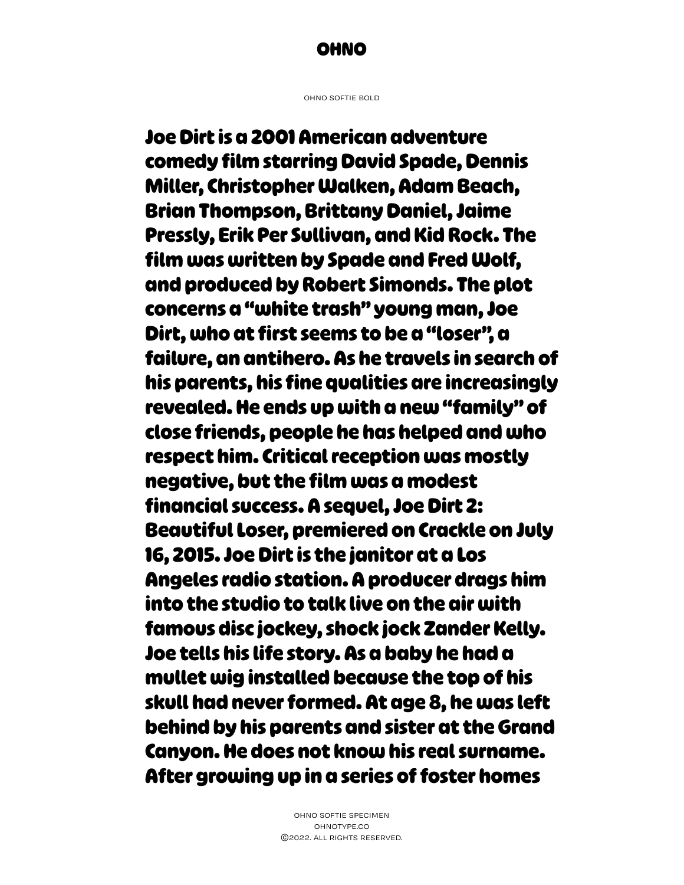### **OHNO**

ohno softie bold

**Joe Dirt is a 2001 American adventure comedy film starring David Spade, Dennis Miller, Christopher Walken, Adam Beach, Brian Thompson, Brittany Daniel, Jaime Pressly, Erik Per Sullivan, and Kid Rock. The film was written by Spade and Fred Wolf, and produced by Robert Simonds. The plot concerns a "white trash" young man, Joe Dirt, who at first seems to be a "loser", a failure, an antihero. As he travels in search of his parents, his fine qualities are increasingly revealed. He ends up with a new "family" of close friends, people he has helped and who respect him. Critical reception was mostly negative, but the film was a modest financial success. A sequel, Joe Dirt 2: Beautiful Loser, premiered on Crackle on July 16, 2015. Joe Dirt is the janitor at a Los Angeles radio station. A producer drags him into the studio to talk live on the air with famous disc jockey, shock jock Zander Kelly. Joe tells his life story. As a baby he had a mullet wig installed because the top of his skull had never formed. At age 8, he was left behind by his parents and sister at the Grand Canyon. He does not know his real surname. After growing up in a series of foster homes**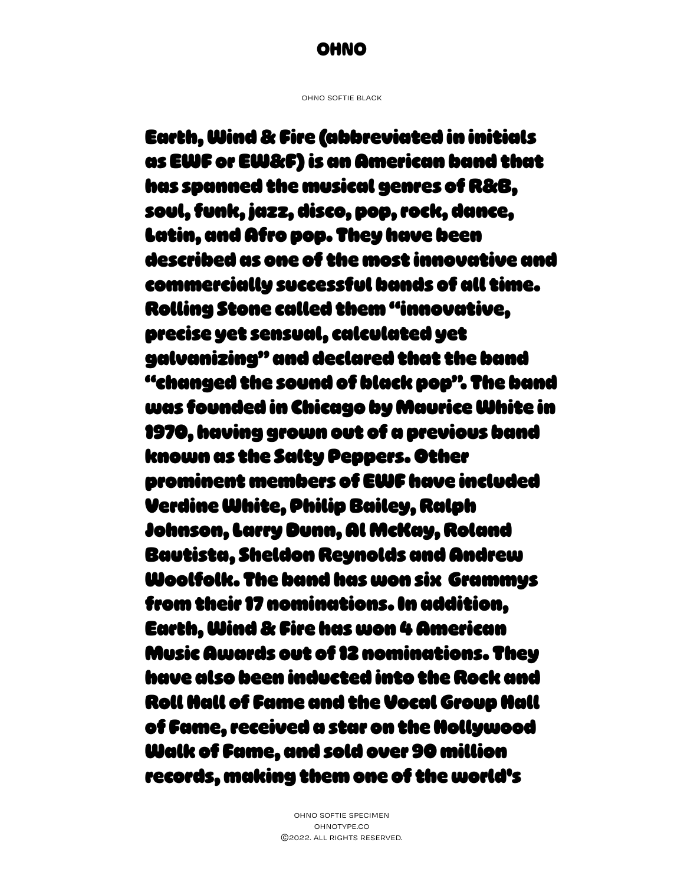ohno softie black

Earth, Wind & Fire (abbreviated in initials as EWF or EW&F) is an American band that has spanned the musical genres of R&B, soul, funk, jazz, disco, pop, rock, dance, Latin, and Afro pop. They have been described as one of the most innovative and commercially successful bands of all time. Rolling Stone called them "innovative, precise yet sensual, calculated yet galvanizing" and declared that the band "changed the sound of black pop". The band was founded in Chicago by Maurice White in 1970, having grown out of a previous band known as the Salty Peppers. Other prominent members of EWF have included Verdine White, Philip Bailey, Ralph Johnson, Larry Dunn, Al McKay, Roland Bautista, Sheldon Reynolds and Andrew Woolfolk. The band has won six Grammys from their 17 nominations. In addition, Earth, Wind & Fire has won 4 American Music Awards out of 12 nominations. They have also been inducted into the Rock and Roll Hall of Fame and the Vocal Group Hall of Fame, received a star on the Hollywood Walk of Fame, and sold over 90 million records, making them one of the world's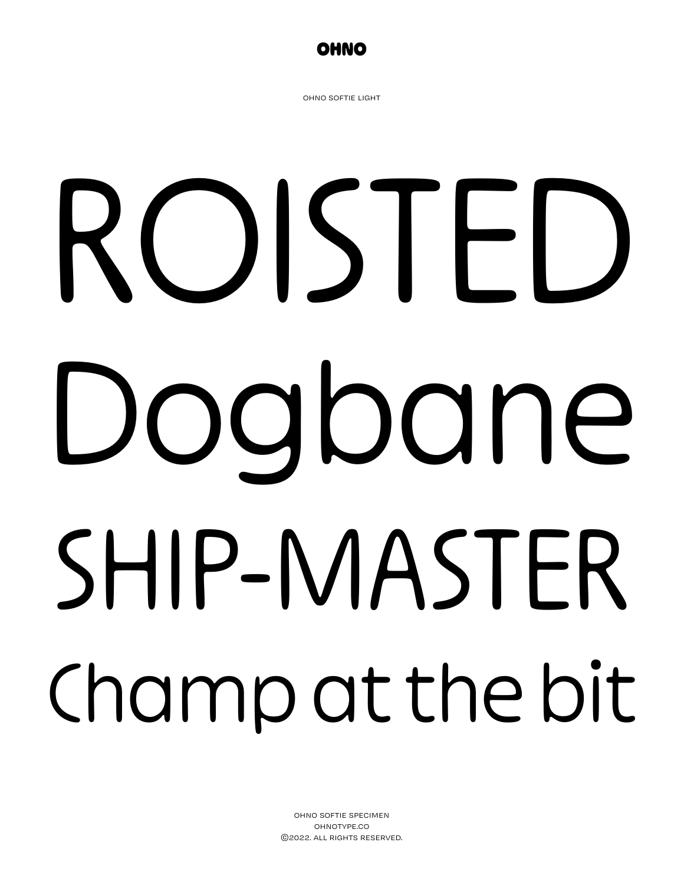

ohno softie light

# ROISTED Dogbane SHIP-MASTER Champ at the bit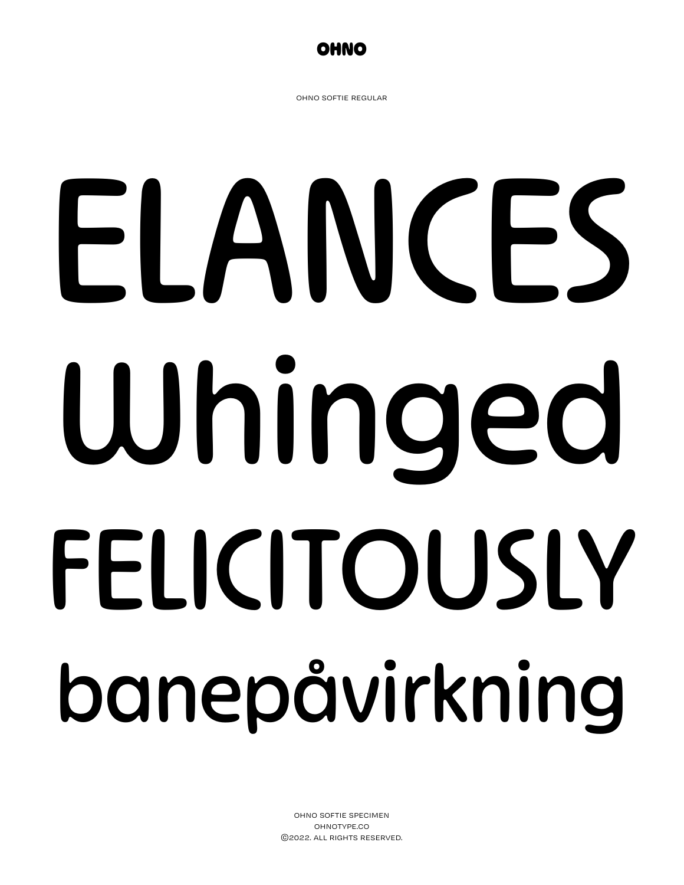

ohno softie regular

# ELANCES Whinged FELICITOUSLY banepåvirkning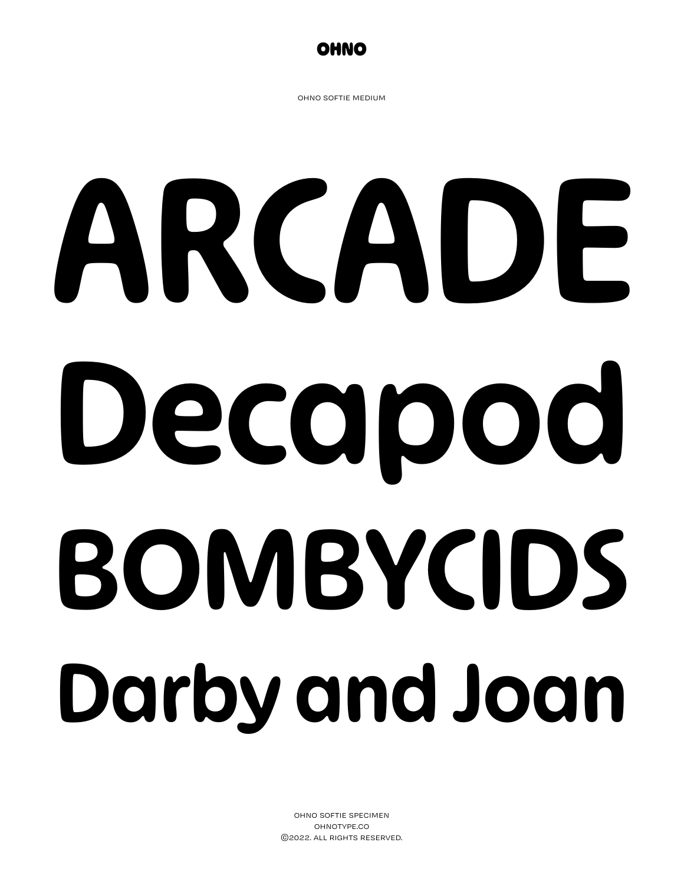

ohno softie medium

# ARCADE Decapod BOMBYCIDS Darby and Joan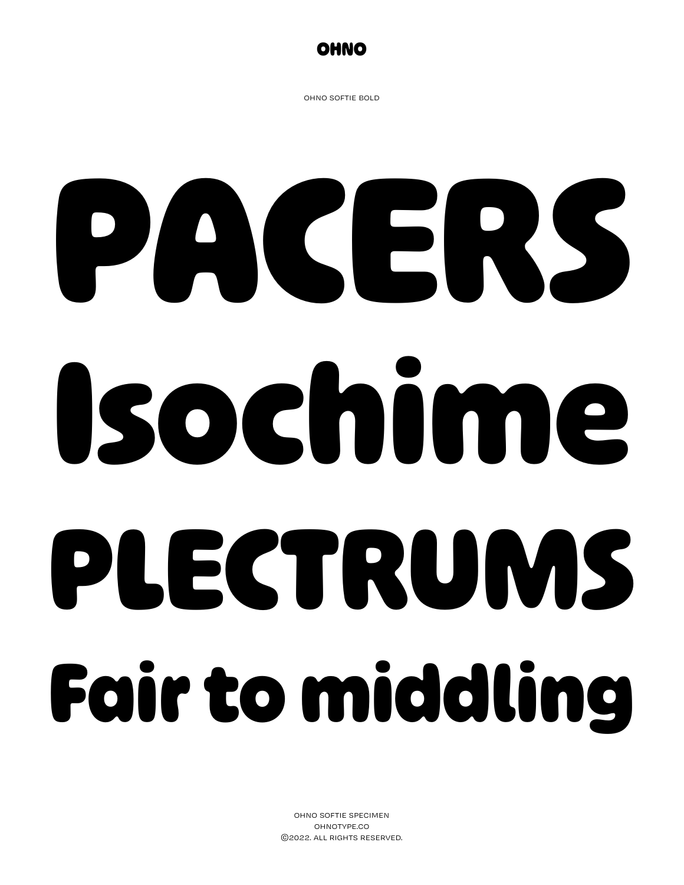

ohno softie bold

## **PACERS Isochime PLECTRUMS Fair to middling**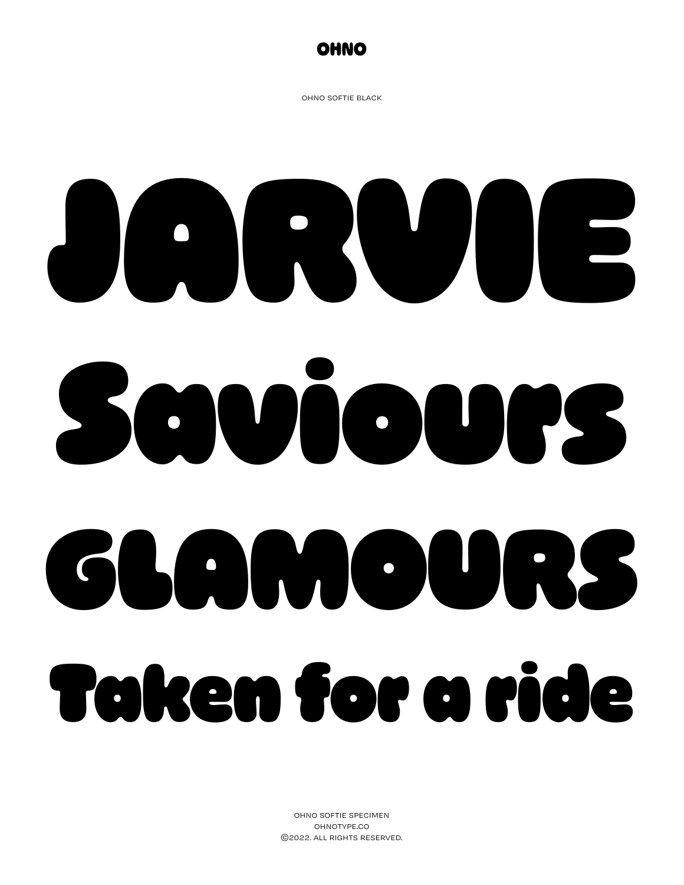

ohno softie black

### JARVIE Saviours GLAMOURS Taken for a ride